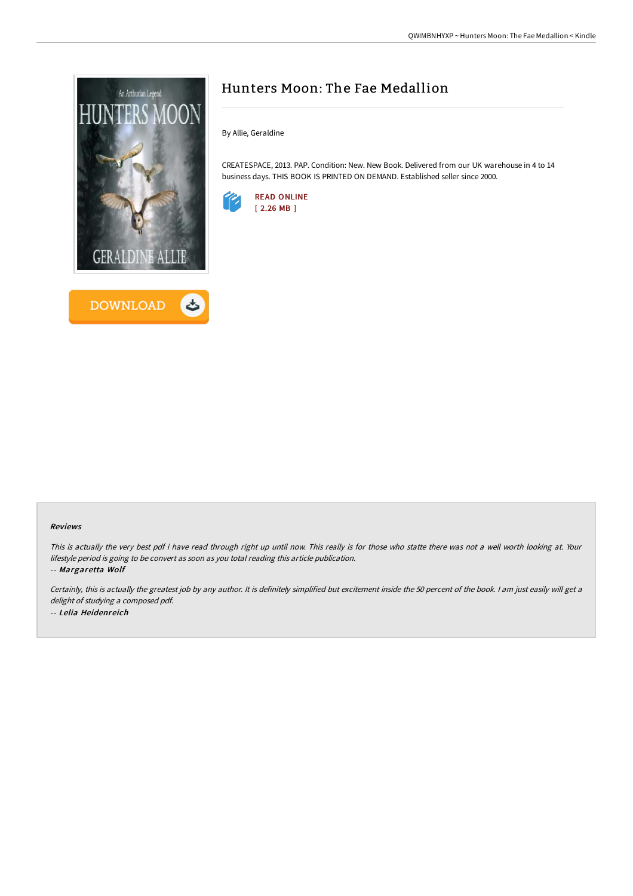



# Hunters Moon: The Fae Medallion

By Allie, Geraldine

CREATESPACE, 2013. PAP. Condition: New. New Book. Delivered from our UK warehouse in 4 to 14 business days. THIS BOOK IS PRINTED ON DEMAND. Established seller since 2000.



#### Reviews

This is actually the very best pdf i have read through right up until now. This really is for those who statte there was not <sup>a</sup> well worth looking at. Your lifestyle period is going to be convert as soon as you total reading this article publication.

-- Margaretta Wolf

Certainly, this is actually the greatest job by any author. It is definitely simplified but excitement inside the 50 percent of the book. I am just easily will get a delight of studying <sup>a</sup> composed pdf. -- Lelia Heidenreich